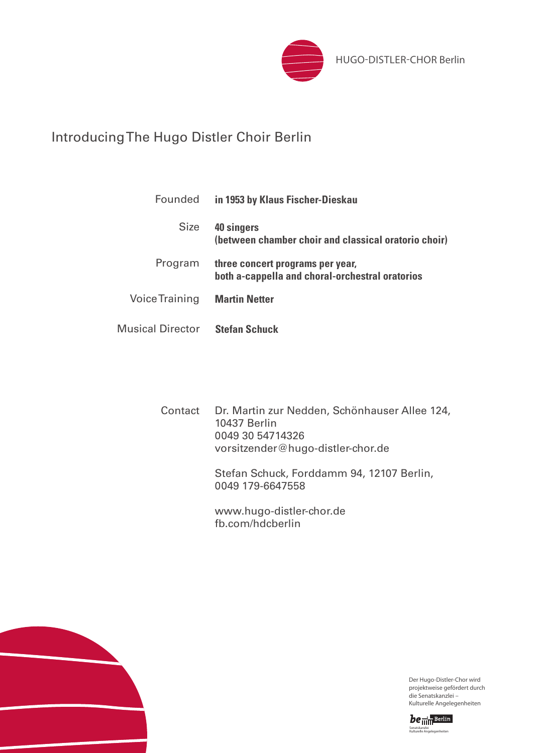

## Introducing The Hugo Distler Choir Berlin

| Founded                 | in 1953 by Klaus Fischer-Dieskau                                                    |
|-------------------------|-------------------------------------------------------------------------------------|
| <b>Size</b>             | 40 singers<br>(between chamber choir and classical oratorio choir)                  |
| Program                 | three concert programs per year,<br>both a-cappella and choral-orchestral oratorios |
| <b>Voice Training</b>   | <b>Martin Netter</b>                                                                |
| <b>Musical Director</b> | <b>Stefan Schuck</b>                                                                |

Dr. Martin zur Nedden, Schönhauser Allee 124, 10437 Berlin 0049 30 54714326 vorsitzender@hugo-distler-chor.de Contact

> Stefan Schuck, Forddamm 94, 12107 Berlin, 0049 179-6647558

www.hugo-distler-chor.de fb.com/hdcberlin



Der Hugo-Distler-Chor wird projektweise gefördert durch die Senatskanzlei – Kulturelle Angelegenheiten

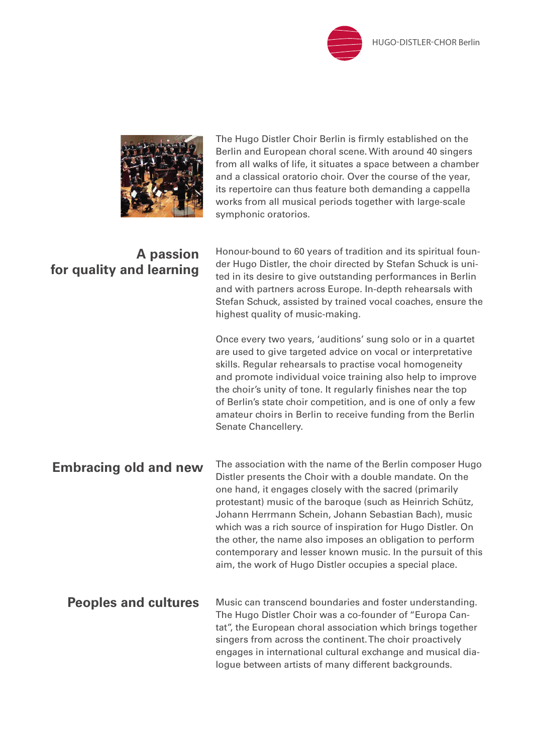



The Hugo Distler Choir Berlin is firmly established on the Berlin and European choral scene. With around 40 singers from all walks of life, it situates a space between a chamber and a classical oratorio choir. Over the course of the year, its repertoire can thus feature both demanding a cappella works from all musical periods together with large-scale symphonic oratorios.

## **A passion for quality and learning**

Honour-bound to 60 years of tradition and its spiritual founder Hugo Distler, the choir directed by Stefan Schuck is united in its desire to give outstanding performances in Berlin and with partners across Europe. In-depth rehearsals with Stefan Schuck, assisted by trained vocal coaches, ensure the highest quality of music-making.

Once every two years, 'auditions' sung solo or in a quartet are used to give targeted advice on vocal or interpretative skills. Regular rehearsals to practise vocal homogeneity and promote individual voice training also help to improve the choir's unity of tone. It regularly finishes near the top of Berlin's state choir competition, and is one of only a few amateur choirs in Berlin to receive funding from the Berlin Senate Chancellery.

The association with the name of the Berlin composer Hugo Distler presents the Choir with a double mandate. On the one hand, it engages closely with the sacred (primarily protestant) music of the baroque (such as Heinrich Schütz, Johann Herrmann Schein, Johann Sebastian Bach), music which was a rich source of inspiration for Hugo Distler. On the other, the name also imposes an obligation to perform contemporary and lesser known music. In the pursuit of this aim, the work of Hugo Distler occupies a special place. **Embracing old and new** 

Music can transcend boundaries and foster understanding. The Hugo Distler Choir was a co-founder of "Europa Cantat", the European choral association which brings together singers from across the continent. The choir proactively engages in international cultural exchange and musical dialogue between artists of many different backgrounds. **Peoples and cultures**